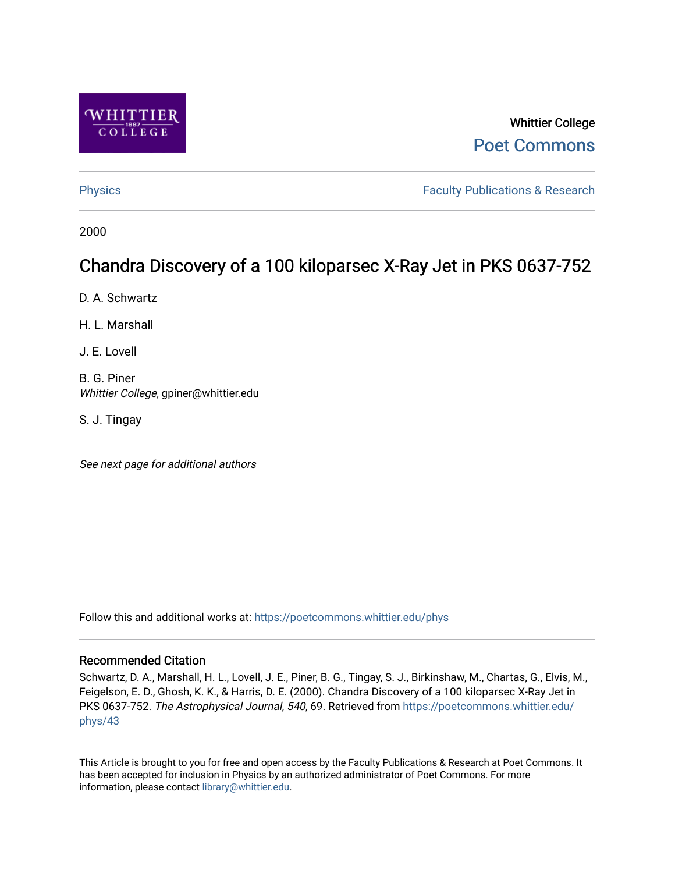

# Whittier College [Poet Commons](https://poetcommons.whittier.edu/)

[Physics](https://poetcommons.whittier.edu/phys) **Faculty Publications & Research Physics Faculty Publications & Research** 

2000

# Chandra Discovery of a 100 kiloparsec X-Ray Jet in PKS 0637-752

D. A. Schwartz

H. L. Marshall

J. E. Lovell

B. G. Piner Whittier College, gpiner@whittier.edu

S. J. Tingay

See next page for additional authors

Follow this and additional works at: [https://poetcommons.whittier.edu/phys](https://poetcommons.whittier.edu/phys?utm_source=poetcommons.whittier.edu%2Fphys%2F43&utm_medium=PDF&utm_campaign=PDFCoverPages)

# Recommended Citation

Schwartz, D. A., Marshall, H. L., Lovell, J. E., Piner, B. G., Tingay, S. J., Birkinshaw, M., Chartas, G., Elvis, M., Feigelson, E. D., Ghosh, K. K., & Harris, D. E. (2000). Chandra Discovery of a 100 kiloparsec X-Ray Jet in PKS 0637-752. The Astrophysical Journal, 540, 69. Retrieved from [https://poetcommons.whittier.edu/](https://poetcommons.whittier.edu/phys/43?utm_source=poetcommons.whittier.edu%2Fphys%2F43&utm_medium=PDF&utm_campaign=PDFCoverPages) [phys/43](https://poetcommons.whittier.edu/phys/43?utm_source=poetcommons.whittier.edu%2Fphys%2F43&utm_medium=PDF&utm_campaign=PDFCoverPages)

This Article is brought to you for free and open access by the Faculty Publications & Research at Poet Commons. It has been accepted for inclusion in Physics by an authorized administrator of Poet Commons. For more information, please contact [library@whittier.edu.](mailto:library@whittier.edu)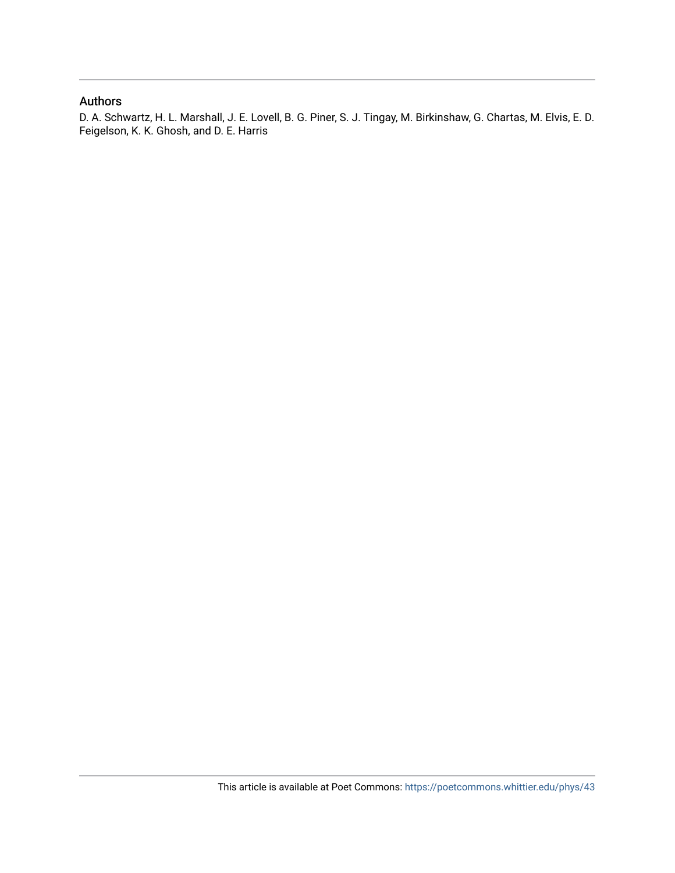# Authors

D. A. Schwartz, H. L. Marshall, J. E. Lovell, B. G. Piner, S. J. Tingay, M. Birkinshaw, G. Chartas, M. Elvis, E. D. Feigelson, K. K. Ghosh, and D. E. Harris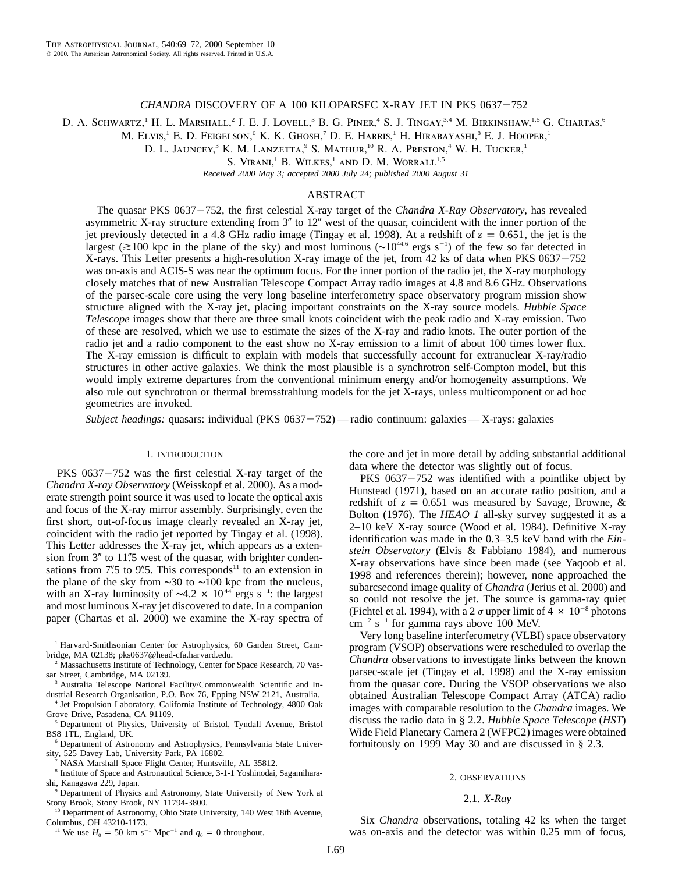### *CHANDRA* DISCOVERY OF A 100 KILOPARSEC X-RAY JET IN PKS 0637-752

D. A. SCHWARTZ,<sup>1</sup> H. L. MARSHALL,<sup>2</sup> J. E. J. LOVELL,<sup>3</sup> B. G. PINER,<sup>4</sup> S. J. TINGAY,<sup>3,4</sup> M. BIRKINSHAW,<sup>1,5</sup> G. CHARTAS,<sup>6</sup>

M. Elvis,<sup>1</sup> E. D. Feigelson,<sup>6</sup> K. K. Ghosh,<sup>7</sup> D. E. Harris,<sup>1</sup> H. Hirabayashi,<sup>8</sup> E. J. Hooper,<sup>1</sup>

D. L. JAUNCEY,<sup>3</sup> K. M. LANZETTA,<sup>9</sup> S. MATHUR,<sup>10</sup> R. A. PRESTON,<sup>4</sup> W. H. TUCKER,<sup>1</sup>

S. VIRANI,<sup>1</sup> B. WILKES,<sup>1</sup> AND D. M. WORRALL<sup>1,5</sup>

*Received 2000 May 3; accepted 2000 July 24; published 2000 August 31*

# ABSTRACT

The quasar PKS 0637-752, the first celestial X-ray target of the *Chandra X-Ray Observatory*, has revealed asymmetric X-ray structure extending from  $3''$  to  $12''$  west of the quasar, coincident with the inner portion of the jet previously detected in a 4.8 GHz radio image (Tingay et al. 1998). At a redshift of  $z = 0.651$ , the jet is the largest ( $\approx$ 100 kpc in the plane of the sky) and most luminous ( $\sim$ 10<sup>44.6</sup> ergs s<sup>-1</sup>) of the few so far detected in X-rays. This Letter presents a high-resolution X-ray image of the jet, from 42 ks of data when PKS  $0637 - 752$ was on-axis and ACIS-S was near the optimum focus. For the inner portion of the radio jet, the X-ray morphology closely matches that of new Australian Telescope Compact Array radio images at 4.8 and 8.6 GHz. Observations of the parsec-scale core using the very long baseline interferometry space observatory program mission show structure aligned with the X-ray jet, placing important constraints on the X-ray source models. *Hubble Space Telescope* images show that there are three small knots coincident with the peak radio and X-ray emission. Two of these are resolved, which we use to estimate the sizes of the X-ray and radio knots. The outer portion of the radio jet and a radio component to the east show no X-ray emission to a limit of about 100 times lower flux. The X-ray emission is difficult to explain with models that successfully account for extranuclear X-ray/radio structures in other active galaxies. We think the most plausible is a synchrotron self-Compton model, but this would imply extreme departures from the conventional minimum energy and/or homogeneity assumptions. We also rule out synchrotron or thermal bremsstrahlung models for the jet X-rays, unless multicomponent or ad hoc geometries are invoked.

*Subject headings:* quasars: individual (PKS 0637-752) — radio continuum: galaxies — X-rays: galaxies

#### 1. INTRODUCTION

PKS  $0637 - 752$  was the first celestial X-ray target of the *Chandra X-ray Observatory* (Weisskopf et al. 2000). As a moderate strength point source it was used to locate the optical axis and focus of the X-ray mirror assembly. Surprisingly, even the first short, out-of-focus image clearly revealed an X-ray jet, coincident with the radio jet reported by Tingay et al. (1998). This Letter addresses the X-ray jet, which appears as a extension from  $3''$  to 11".5 west of the quasar, with brighter condensations from 7".5 to 9".5. This corresponds<sup>11</sup> to an extension in the plane of the sky from ∼30 to ∼100 kpc from the nucleus, with an X-ray luminosity of ~4.2  $\times$  10<sup>44</sup> ergs s<sup>-1</sup>: the largest and most luminous X-ray jet discovered to date. In a companion paper (Chartas et al. 2000) we examine the X-ray spectra of

<sup>1</sup> Harvard-Smithsonian Center for Astrophysics, 60 Garden Street, Cambridge, MA 02138; pks0637@head-cfa.harvard.edu.

<sup>2</sup> Massachusetts Institute of Technology, Center for Space Research, 70 Vassar Street, Cambridge, MA 02139.

<sup>3</sup> Australia Telescope National Facility/Commonwealth Scientific and Industrial Research Organisation, P.O. Box 76, Epping NSW 2121, Australia.

Jet Propulsion Laboratory, California Institute of Technology, 4800 Oak Grove Drive, Pasadena, CA 91109.

<sup>5</sup> Department of Physics, University of Bristol, Tyndall Avenue, Bristol BS8 1TL, England, UK.

<sup>6</sup> Department of Astronomy and Astrophysics, Pennsylvania State University, 525 Davey Lab, University Park, PA 16802.

<sup>7</sup> NASA Marshall Space Flight Center, Huntsville, AL 35812.

<sup>8</sup> Institute of Space and Astronautical Science, 3-1-1 Yoshinodai, Sagamiharashi, Kanagawa 229, Japan.

<sup>9</sup> Department of Physics and Astronomy, State University of New York at Stony Brook, Stony Brook, NY 11794-3800.

<sup>10</sup> Department of Astronomy, Ohio State University, 140 West 18th Avenue, Columbus, OH 43210-1173.

<sup>11</sup> We use  $H_0 = 50$  km s<sup>-1</sup> Mpc<sup>-1</sup> and  $q_0 = 0$  throughout.

the core and jet in more detail by adding substantial additional data where the detector was slightly out of focus.

PKS  $0637 - 752$  was identified with a pointlike object by Hunstead (1971), based on an accurate radio position, and a redshift of  $z = 0.651$  was measured by Savage, Browne, & Bolton (1976). The *HEAO 1* all-sky survey suggested it as a 2–10 keV X-ray source (Wood et al. 1984). Definitive X-ray identification was made in the 0.3–3.5 keV band with the *Einstein Observatory* (Elvis & Fabbiano 1984), and numerous X-ray observations have since been made (see Yaqoob et al. 1998 and references therein); however, none approached the subarcsecond image quality of *Chandra* (Jerius et al. 2000) and so could not resolve the jet. The source is gamma-ray quiet (Fichtel et al. 1994), with a 2  $\sigma$  upper limit of 4  $\times$  10<sup>-8</sup> photons  $\text{cm}^{-2}$  s<sup>-1</sup> for gamma rays above 100 MeV.

Very long baseline interferometry (VLBI) space observatory program (VSOP) observations were rescheduled to overlap the *Chandra* observations to investigate links between the known parsec-scale jet (Tingay et al. 1998) and the X-ray emission from the quasar core. During the VSOP observations we also obtained Australian Telescope Compact Array (ATCA) radio images with comparable resolution to the *Chandra* images. We discuss the radio data in § 2.2. *Hubble Space Telescope* (*HST*) Wide Field Planetary Camera 2 (WFPC2) images were obtained fortuitously on 1999 May 30 and are discussed in § 2.3.

#### 2. OBSERVATIONS

## 2.1. *X-Ray*

Six *Chandra* observations, totaling 42 ks when the target was on-axis and the detector was within 0.25 mm of focus,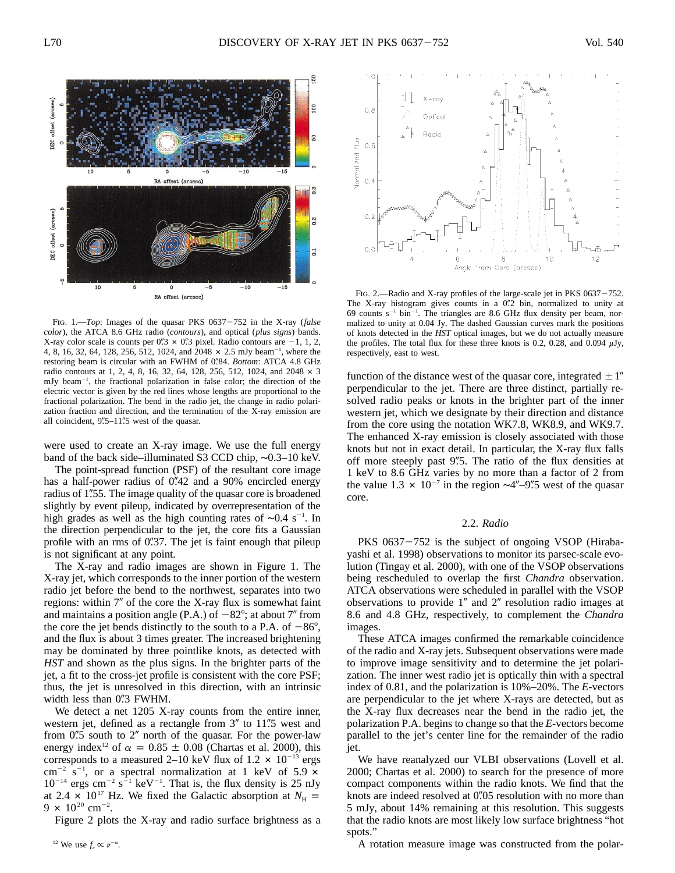

Fig. 1.—*Top*: Images of the quasar PKS 0637-752 in the X-ray (*false color*), the ATCA 8.6 GHz radio (*contours*), and optical (*plus signs*) bands. X-ray color scale is counts per 0".3  $\times$  0".3 pixel. Radio contours are -1, 1, 2, 4, 8, 16, 32, 64, 128, 256, 512, 1024, and  $2048 \times 2.5$  mJy beam<sup>-1</sup>, where the restoring beam is circular with an FWHM of 0.84. *Bottom*: ATCA 4.8 GHz radio contours at 1, 2, 4, 8, 16, 32, 64, 128, 256, 512, 1024, and  $2048 \times 3$ mJy beam<sup>-1</sup>, the fractional polarization in false color; the direction of the electric vector is given by the red lines whose lengths are proportional to the fractional polarization. The bend in the radio jet, the change in radio polarization fraction and direction, and the termination of the X-ray emission are all coincident,  $9\frac{0.5}{1.5}$  west of the quasar.

were used to create an X-ray image. We use the full energy band of the back side–illuminated S3 CCD chip, ∼0.3–10 keV.

The point-spread function (PSF) of the resultant core image has a half-power radius of  $0''$ .42 and a 90% encircled energy radius of 1.55. The image quality of the quasar core is broadened slightly by event pileup, indicated by overrepresentation of the high grades as well as the high counting rates of ~0.4 s<sup>-1</sup>. In the direction perpendicular to the jet, the core fits a Gaussian profile with an rms of  $0\rlap{.}^{\prime\prime}37$ . The jet is faint enough that pileup is not significant at any point.

The X-ray and radio images are shown in Figure 1. The X-ray jet, which corresponds to the inner portion of the western radio jet before the bend to the northwest, separates into two regions: within  $7''$  of the core the X-ray flux is somewhat faint and maintains a position angle (P.A.) of  $-82^{\circ}$ ; at about 7" from the core the jet bends distinctly to the south to a P.A. of  $-86^{\circ}$ , and the flux is about 3 times greater. The increased brightening may be dominated by three pointlike knots, as detected with *HST* and shown as the plus signs. In the brighter parts of the jet, a fit to the cross-jet profile is consistent with the core PSF; thus, the jet is unresolved in this direction, with an intrinsic width less than  $0\overset{\prime\prime}{.}3$  FWHM.

We detect a net 1205 X-ray counts from the entire inner, western jet, defined as a rectangle from  $3''$  to 11".5 west and from  $0\rlap{.}^{\prime\prime}5$  south to  $2\rlap{.}^{\prime\prime}$  north of the quasar. For the power-law energy index<sup>12</sup> of  $\alpha = 0.85 \pm 0.08$  (Chartas et al. 2000), this corresponds to a measured 2–10 keV flux of 1.2  $\times$  10<sup>-13</sup> ergs cm<sup>-2</sup> s<sup>-1</sup>, or a spectral normalization at 1 keV of 5.9  $\times$  $10^{-14}$  ergs cm<sup>-2</sup> s<sup>-1</sup> keV<sup>-1</sup>. That is, the flux density is 25 nJy at 2.4  $\times$  10<sup>17</sup> Hz. We fixed the Galactic absorption at  $N_{\text{H}}$  = 9  $\times$  10<sup>20</sup> cm<sup>-2</sup>.

Figure 2 plots the X-ray and radio surface brightness as a



FIG. 2.—Radio and X-ray profiles of the large-scale jet in PKS  $0637 - 752$ . The X-ray histogram gives counts in a  $0\rlap{.}''2$  bin, normalized to unity at 69 counts  $s^{-1}$  bin<sup>-1</sup>. The triangles are 8.6 GHz flux density per beam, normalized to unity at 0.04 Jy. The dashed Gaussian curves mark the positions of knots detected in the *HST* optical images, but we do not actually measure the profiles. The total flux for these three knots is 0.2, 0.28, and 0.094  $\mu$ Jy, respectively, east to west.

function of the distance west of the quasar core, integrated  $\pm 1$ <sup>"</sup> perpendicular to the jet. There are three distinct, partially resolved radio peaks or knots in the brighter part of the inner western jet, which we designate by their direction and distance from the core using the notation WK7.8, WK8.9, and WK9.7. The enhanced X-ray emission is closely associated with those knots but not in exact detail. In particular, the X-ray flux falls off more steeply past 9".5. The ratio of the flux densities at 1 keV to 8.6 GHz varies by no more than a factor of 2 from the value 1.3  $\times$  10<sup>-7</sup> in the region ~4″-9″.5 west of the quasar core.

#### 2.2. *Radio*

PKS  $0637 - 752$  is the subject of ongoing VSOP (Hirabayashi et al. 1998) observations to monitor its parsec-scale evolution (Tingay et al. 2000), with one of the VSOP observations being rescheduled to overlap the first *Chandra* observation. ATCA observations were scheduled in parallel with the VSOP observations to provide  $1''$  and  $2''$  resolution radio images at 8.6 and 4.8 GHz, respectively, to complement the *Chandra* images.

These ATCA images confirmed the remarkable coincidence of the radio and X-ray jets. Subsequent observations were made to improve image sensitivity and to determine the jet polarization. The inner west radio jet is optically thin with a spectral index of 0.81, and the polarization is 10%–20%. The *E*-vectors are perpendicular to the jet where X-rays are detected, but as the X-ray flux decreases near the bend in the radio jet, the polarization P.A. begins to change so that the *E*-vectors become parallel to the jet's center line for the remainder of the radio jet.

We have reanalyzed our VLBI observations (Lovell et al. 2000; Chartas et al. 2000) to search for the presence of more compact components within the radio knots. We find that the knots are indeed resolved at 0.05 resolution with no more than 5 mJy, about 14% remaining at this resolution. This suggests that the radio knots are most likely low surface brightness "hot spots."

A rotation measure image was constructed from the polar-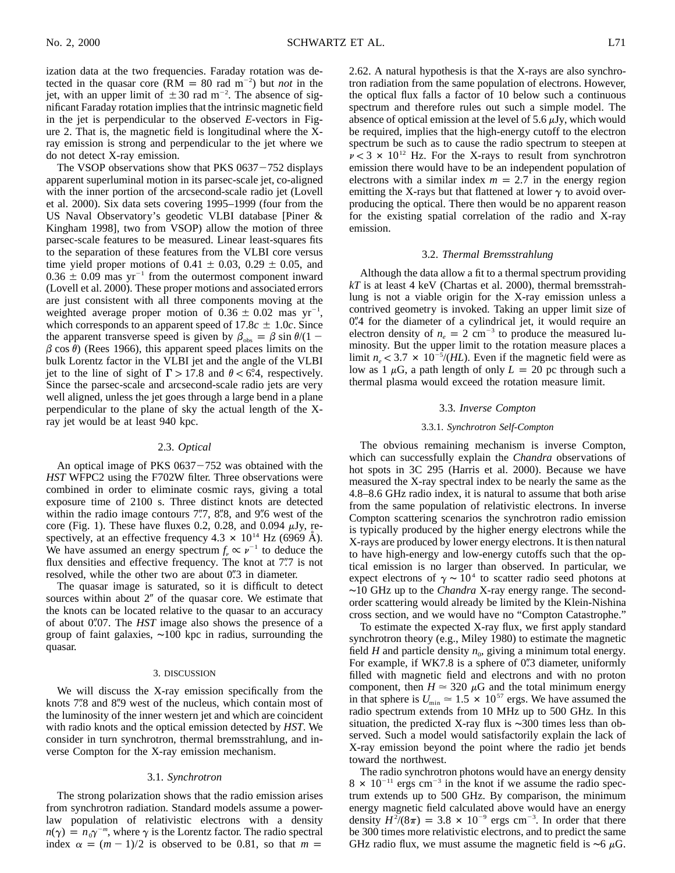ization data at the two frequencies. Faraday rotation was detected in the quasar core ( $RM = 80$  rad  $m^{-2}$ ) but *not* in the jet, with an upper limit of  $\pm 30$  rad m<sup>-2</sup>. The absence of significant Faraday rotation implies that the intrinsic magnetic field in the jet is perpendicular to the observed *E*-vectors in Figure 2. That is, the magnetic field is longitudinal where the Xray emission is strong and perpendicular to the jet where we do not detect X-ray emission.

The VSOP observations show that PKS  $0637 - 752$  displays apparent superluminal motion in its parsec-scale jet, co-aligned with the inner portion of the arcsecond-scale radio jet (Lovell et al. 2000). Six data sets covering 1995–1999 (four from the US Naval Observatory's geodetic VLBI database [Piner & Kingham 1998], two from VSOP) allow the motion of three parsec-scale features to be measured. Linear least-squares fits to the separation of these features from the VLBI core versus time yield proper motions of  $0.41 \pm 0.03$ ,  $0.29 \pm 0.05$ , and  $0.36 \pm 0.09$  mas yr<sup>-1</sup> from the outermost component inward (Lovell et al. 2000). These proper motions and associated errors are just consistent with all three components moving at the weighted average proper motion of  $0.36 \pm 0.02$  mas yr<sup>-1</sup>, which corresponds to an apparent speed of  $17.8c \pm 1.0c$ . Since the apparent transverse speed is given by  $\beta_{obs} = \beta \sin \theta / (1 \beta$  cos  $\theta$ ) (Rees 1966), this apparent speed places limits on the bulk Lorentz factor in the VLBI jet and the angle of the VLBI jet to the line of sight of  $\Gamma > 17.8$  and  $\theta < 6.4$ , respectively. Since the parsec-scale and arcsecond-scale radio jets are very well aligned, unless the jet goes through a large bend in a plane perpendicular to the plane of sky the actual length of the Xray jet would be at least 940 kpc.

#### 2.3. *Optical*

An optical image of PKS  $0637 - 752$  was obtained with the *HST* WFPC2 using the F702W filter. Three observations were combined in order to eliminate cosmic rays, giving a total exposure time of 2100 s. Three distinct knots are detected within the radio image contours  $7\rlap{.}^{\prime\prime}7$ ,  $8\rlap{.}^{\prime\prime}8$ , and  $9\rlap{.}^{\prime\prime}6$  west of the core (Fig. 1). These have fluxes 0.2, 0.28, and 0.094  $\mu$ Jy, respectively, at an effective frequency  $4.3 \times 10^{14}$  Hz (6969 Å). We have assumed an energy spectrum  $f_v \propto v^{-1}$  to deduce the flux densities and effective frequency. The knot at 7".7 is not resolved, while the other two are about  $0\rlap{.}^{\prime\prime}3$  in diameter.

The quasar image is saturated, so it is difficult to detect sources within about  $2<sup>n</sup>$  of the quasar core. We estimate that the knots can be located relative to the quasar to an accuracy of about 0.07. The *HST* image also shows the presence of a group of faint galaxies, ∼100 kpc in radius, surrounding the quasar.

#### 3. DISCUSSION

We will discuss the X-ray emission specifically from the knots 7.8 and 8.9 west of the nucleus, which contain most of the luminosity of the inner western jet and which are coincident with radio knots and the optical emission detected by *HST*. We consider in turn synchrotron, thermal bremsstrahlung, and inverse Compton for the X-ray emission mechanism.

#### 3.1. *Synchrotron*

The strong polarization shows that the radio emission arises from synchrotron radiation. Standard models assume a powerlaw population of relativistic electrons with a density  $n(\gamma) = n_0 \gamma^{-m}$ , where  $\gamma$  is the Lorentz factor. The radio spectral index  $\alpha = (m - 1)/2$  is observed to be 0.81, so that  $m =$ 

2.62. A natural hypothesis is that the X-rays are also synchrotron radiation from the same population of electrons. However, the optical flux falls a factor of 10 below such a continuous spectrum and therefore rules out such a simple model. The absence of optical emission at the level of 5.6  $\mu$ Jy, which would be required, implies that the high-energy cutoff to the electron spectrum be such as to cause the radio spectrum to steepen at  $\nu < 3 \times 10^{12}$  Hz. For the X-rays to result from synchrotron emission there would have to be an independent population of electrons with a similar index  $m = 2.7$  in the energy region emitting the X-rays but that flattened at lower  $\gamma$  to avoid overproducing the optical. There then would be no apparent reason for the existing spatial correlation of the radio and X-ray emission.

#### 3.2. *Thermal Bremsstrahlung*

Although the data allow a fit to a thermal spectrum providing *kT* is at least 4 keV (Chartas et al. 2000), thermal bremsstrahlung is not a viable origin for the X-ray emission unless a contrived geometry is invoked. Taking an upper limit size of 0.4 for the diameter of a cylindrical jet, it would require an electron density of  $n_e = 2$  cm<sup>-3</sup> to produce the measured luminosity. But the upper limit to the rotation measure places a limit  $n_e < 3.7 \times 10^{-5}$ /*(HL)*. Even if the magnetic field were as low as 1  $\mu$ G, a path length of only  $L = 20$  pc through such a thermal plasma would exceed the rotation measure limit.

#### 3.3. *Inverse Compton*

#### 3.3.1. *Synchrotron Self-Compton*

The obvious remaining mechanism is inverse Compton, which can successfully explain the *Chandra* observations of hot spots in 3C 295 (Harris et al. 2000). Because we have measured the X-ray spectral index to be nearly the same as the 4.8–8.6 GHz radio index, it is natural to assume that both arise from the same population of relativistic electrons. In inverse Compton scattering scenarios the synchrotron radio emission is typically produced by the higher energy electrons while the X-rays are produced by lower energy electrons. It is then natural to have high-energy and low-energy cutoffs such that the optical emission is no larger than observed. In particular, we expect electrons of  $\gamma \sim 10^4$  to scatter radio seed photons at ∼10 GHz up to the *Chandra* X-ray energy range. The secondorder scattering would already be limited by the Klein-Nishina cross section, and we would have no "Compton Catastrophe."

To estimate the expected X-ray flux, we first apply standard synchrotron theory (e.g., Miley 1980) to estimate the magnetic field *H* and particle density  $n_0$ , giving a minimum total energy. For example, if WK7.8 is a sphere of  $0\rlap{.}^{\prime\prime}3$  diameter, uniformly filled with magnetic field and electrons and with no proton component, then  $H \approx 320 \mu$ G and the total minimum energy in that sphere is  $U_{\text{min}} \approx 1.5 \times 10^{57}$  ergs. We have assumed the radio spectrum extends from 10 MHz up to 500 GHz. In this situation, the predicted X-ray flux is ∼300 times less than observed. Such a model would satisfactorily explain the lack of X-ray emission beyond the point where the radio jet bends toward the northwest.

The radio synchrotron photons would have an energy density  $8 \times 10^{-11}$  ergs cm<sup>-3</sup> in the knot if we assume the radio spectrum extends up to 500 GHz. By comparison, the minimum energy magnetic field calculated above would have an energy density  $H^2/(8\pi) = 3.8 \times 10^{-9}$  ergs cm<sup>-3</sup>. In order that there be 300 times more relativistic electrons, and to predict the same GHz radio flux, we must assume the magnetic field is  $~\sim 6 \mu G$ .